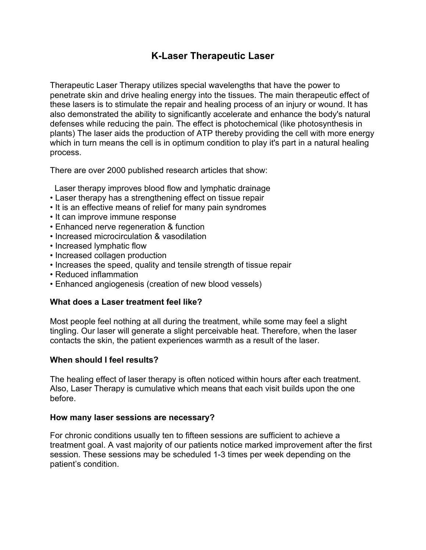# **K-Laser Therapeutic Laser**

Therapeutic Laser Therapy utilizes special wavelengths that have the power to penetrate skin and drive healing energy into the tissues. The main therapeutic effect of these lasers is to stimulate the repair and healing process of an injury or wound. It has also demonstrated the ability to significantly accelerate and enhance the body's natural defenses while reducing the pain. The effect is photochemical (like photosynthesis in plants) The laser aids the production of ATP thereby providing the cell with more energy which in turn means the cell is in optimum condition to play it's part in a natural healing process.

There are over 2000 published research articles that show:

Laser therapy improves blood flow and lymphatic drainage

- Laser therapy has a strengthening effect on tissue repair
- It is an effective means of relief for many pain syndromes
- It can improve immune response
- Enhanced nerve regeneration & function
- Increased microcirculation & vasodilation
- Increased lymphatic flow
- Increased collagen production
- Increases the speed, quality and tensile strength of tissue repair
- Reduced inflammation
- Enhanced angiogenesis (creation of new blood vessels)

#### **What does a Laser treatment feel like?**

Most people feel nothing at all during the treatment, while some may feel a slight tingling. Our laser will generate a slight perceivable heat. Therefore, when the laser contacts the skin, the patient experiences warmth as a result of the laser.

#### **When should I feel results?**

The healing effect of laser therapy is often noticed within hours after each treatment. Also, Laser Therapy is cumulative which means that each visit builds upon the one before.

#### **How many laser sessions are necessary?**

For chronic conditions usually ten to fifteen sessions are sufficient to achieve a treatment goal. A vast majority of our patients notice marked improvement after the first session. These sessions may be scheduled 1-3 times per week depending on the patient's condition.